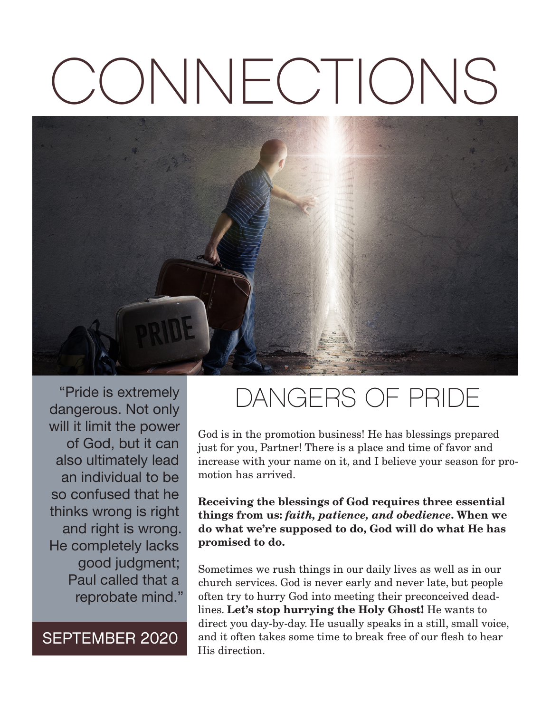# CONNECTIONS



"Pride is extremely dangerous. Not only will it limit the power of God, but it can also ultimately lead an individual to be so confused that he thinks wrong is right and right is wrong. He completely lacks good judgment; Paul called that a reprobate mind."

SEPTEMBER 2020

# DANGERS OF PRIDE

God is in the promotion business! He has blessings prepared just for you, Partner! There is a place and time of favor and increase with your name on it, and I believe your season for promotion has arrived.

**Receiving the blessings of God requires three essential things from us:** *faith, patience, and obedience***. When we do what we're supposed to do, God will do what He has promised to do.**

Sometimes we rush things in our daily lives as well as in our church services. God is never early and never late, but people often try to hurry God into meeting their preconceived deadlines. **Let's stop hurrying the Holy Ghost!** He wants to direct you day-by-day. He usually speaks in a still, small voice, and it often takes some time to break free of our flesh to hear His direction.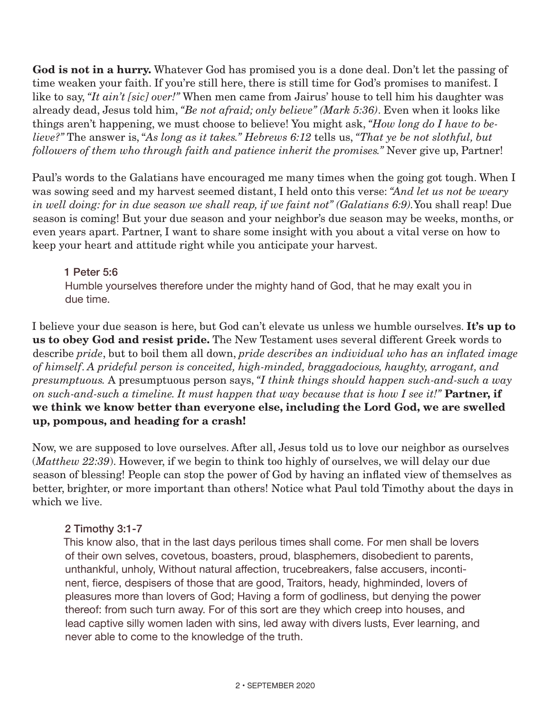**God is not in a hurry.** Whatever God has promised you is a done deal. Don't let the passing of time weaken your faith. If you're still here, there is still time for God's promises to manifest. I like to say, *"It ain't [sic] over!"* When men came from Jairus' house to tell him his daughter was already dead, Jesus told him, *"Be not afraid; only believe" (Mark 5:36)*. Even when it looks like things aren't happening, we must choose to believe! You might ask, *"How long do I have to believe?"* The answer is, "*As long as it takes." Hebrews 6:12* tells us, *"That ye be not slothful, but followers of them who through faith and patience inherit the promises."* Never give up, Partner!

Paul's words to the Galatians have encouraged me many times when the going got tough. When I was sowing seed and my harvest seemed distant, I held onto this verse: *"And let us not be weary in well doing: for in due season we shall reap, if we faint not" (Galatians 6:9).*You shall reap! Due season is coming! But your due season and your neighbor's due season may be weeks, months, or even years apart. Partner, I want to share some insight with you about a vital verse on how to keep your heart and attitude right while you anticipate your harvest.

#### 1 Peter 5:6 Humble yourselves therefore under the mighty hand of God, that he may exalt you in due time.

I believe your due season is here, but God can't elevate us unless we humble ourselves. **It's up to us to obey God and resist pride.** The New Testament uses several different Greek words to describe *pride*, but to boil them all down, *pride describes an individual who has an inflated image of himself*. *A prideful person is conceited, high-minded, braggadocious, haughty, arrogant, and presumptuous.* A presumptuous person says, *"I think things should happen such-and-such a way on such-and-such a timeline. It must happen that way because that is how I see it!"* **Partner, if we think we know better than everyone else, including the Lord God, we are swelled up, pompous, and heading for a crash!**

Now, we are supposed to love ourselves. After all, Jesus told us to love our neighbor as ourselves (*Matthew 22:39*). However, if we begin to think too highly of ourselves, we will delay our due season of blessing! People can stop the power of God by having an inflated view of themselves as better, brighter, or more important than others! Notice what Paul told Timothy about the days in which we live.

# 2 Timothy 3:1-7

This know also, that in the last days perilous times shall come. For men shall be lovers of their own selves, covetous, boasters, proud, blasphemers, disobedient to parents, unthankful, unholy, Without natural affection, trucebreakers, false accusers, incontinent, fierce, despisers of those that are good, Traitors, heady, highminded, lovers of pleasures more than lovers of God; Having a form of godliness, but denying the power thereof: from such turn away. For of this sort are they which creep into houses, and lead captive silly women laden with sins, led away with divers lusts, Ever learning, and never able to come to the knowledge of the truth.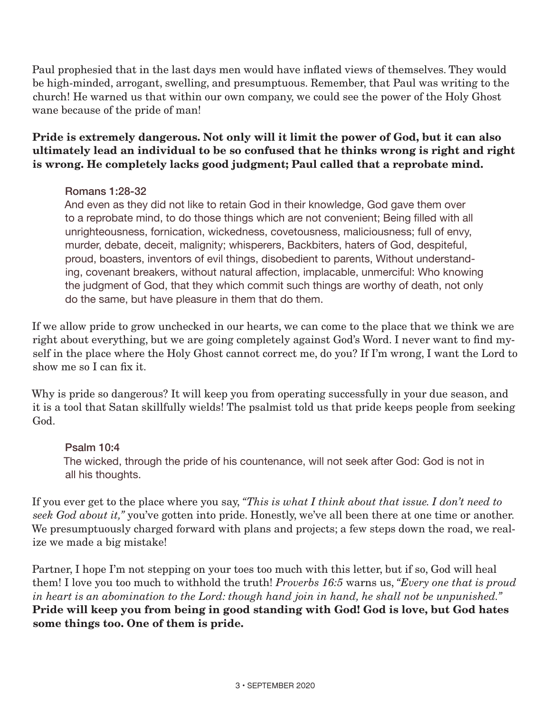Paul prophesied that in the last days men would have inflated views of themselves. They would be high-minded, arrogant, swelling, and presumptuous. Remember, that Paul was writing to the church! He warned us that within our own company, we could see the power of the Holy Ghost wane because of the pride of man!

# **Pride is extremely dangerous. Not only will it limit the power of God, but it can also ultimately lead an individual to be so confused that he thinks wrong is right and right is wrong. He completely lacks good judgment; Paul called that a reprobate mind.**

# Romans 1:28-32

And even as they did not like to retain God in their knowledge, God gave them over to a reprobate mind, to do those things which are not convenient; Being filled with all unrighteousness, fornication, wickedness, covetousness, maliciousness; full of envy, murder, debate, deceit, malignity; whisperers, Backbiters, haters of God, despiteful, proud, boasters, inventors of evil things, disobedient to parents, Without understanding, covenant breakers, without natural affection, implacable, unmerciful: Who knowing the judgment of God, that they which commit such things are worthy of death, not only do the same, but have pleasure in them that do them.

If we allow pride to grow unchecked in our hearts, we can come to the place that we think we are right about everything, but we are going completely against God's Word. I never want to find myself in the place where the Holy Ghost cannot correct me, do you? If I'm wrong, I want the Lord to show me so I can fix it.

Why is pride so dangerous? It will keep you from operating successfully in your due season, and it is a tool that Satan skillfully wields! The psalmist told us that pride keeps people from seeking God.

#### Psalm 10:4

The wicked, through the pride of his countenance, will not seek after God: God is not in all his thoughts.

If you ever get to the place where you say, *"This is what I think about that issue. I don't need to seek God about it,"* you've gotten into pride. Honestly, we've all been there at one time or another. We presumptuously charged forward with plans and projects; a few steps down the road, we realize we made a big mistake!

Partner, I hope I'm not stepping on your toes too much with this letter, but if so, God will heal them! I love you too much to withhold the truth! *Proverbs 16:5* warns us, *"Every one that is proud in heart is an abomination to the Lord: though hand join in hand, he shall not be unpunished."*  **Pride will keep you from being in good standing with God! God is love, but God hates some things too. One of them is pride.**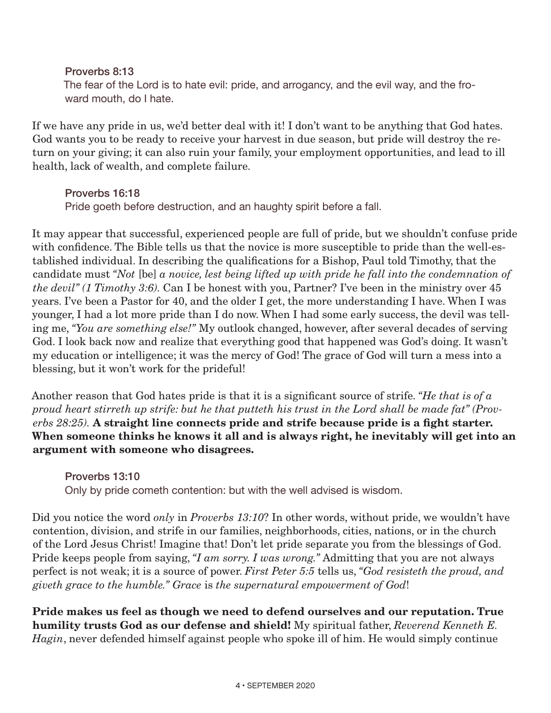Proverbs 8:13 The fear of the Lord is to hate evil: pride, and arrogancy, and the evil way, and the froward mouth, do I hate.

If we have any pride in us, we'd better deal with it! I don't want to be anything that God hates. God wants you to be ready to receive your harvest in due season, but pride will destroy the return on your giving; it can also ruin your family, your employment opportunities, and lead to ill health, lack of wealth, and complete failure.

Proverbs 16:18

Pride goeth before destruction, and an haughty spirit before a fall.

It may appear that successful, experienced people are full of pride, but we shouldn't confuse pride with confidence. The Bible tells us that the novice is more susceptible to pride than the well-established individual. In describing the qualifications for a Bishop, Paul told Timothy, that the candidate must *"Not* [be] *a novice, lest being lifted up with pride he fall into the condemnation of the devil" (1 Timothy 3:6).* Can I be honest with you, Partner? I've been in the ministry over 45 years. I've been a Pastor for 40, and the older I get, the more understanding I have. When I was younger, I had a lot more pride than I do now. When I had some early success, the devil was telling me, *"You are something else!"* My outlook changed, however, after several decades of serving God. I look back now and realize that everything good that happened was God's doing. It wasn't my education or intelligence; it was the mercy of God! The grace of God will turn a mess into a blessing, but it won't work for the prideful!

Another reason that God hates pride is that it is a significant source of strife. *"He that is of a proud heart stirreth up strife: but he that putteth his trust in the Lord shall be made fat" (Proverbs 28:25).* **A straight line connects pride and strife because pride is a fight starter. When someone thinks he knows it all and is always right, he inevitably will get into an argument with someone who disagrees.**

Proverbs 13:10 Only by pride cometh contention: but with the well advised is wisdom.

Did you notice the word *only* in *Proverbs 13:10*? In other words, without pride, we wouldn't have contention, division, and strife in our families, neighborhoods, cities, nations, or in the church of the Lord Jesus Christ! Imagine that! Don't let pride separate you from the blessings of God. Pride keeps people from saying, *"I am sorry. I was wrong."* Admitting that you are not always perfect is not weak; it is a source of power. *First Peter 5:5* tells us, *"God resisteth the proud, and giveth grace to the humble." Grace* is *the supernatural empowerment of God*!

**Pride makes us feel as though we need to defend ourselves and our reputation. True humility trusts God as our defense and shield!** My spiritual father, *Reverend Kenneth E. Hagin*, never defended himself against people who spoke ill of him. He would simply continue